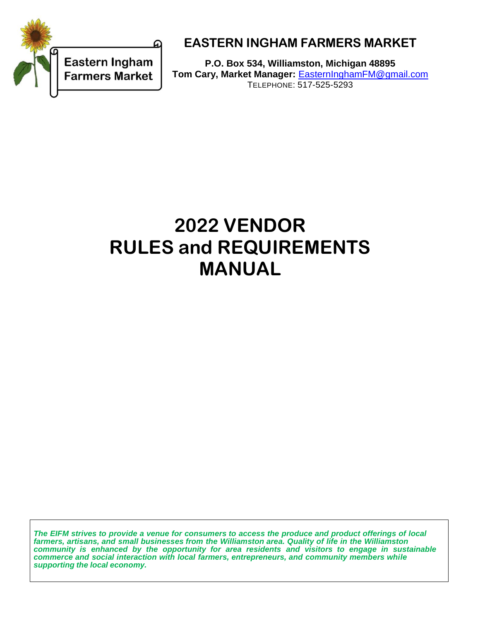

# **EASTERN INGHAM FARMERS MARKET**

**P.O. Box 534, Williamston, Michigan 48895 Tom Cary, Market Manager:** [EasternInghamFM@gmail.com](mailto:EasternInghamFM@gmail.com) TELEPHONE: 517-525-5293

# **2022 VENDOR RULES and REQUIREMENTS MANUAL**

*The EIFM strives to provide a venue for consumers to access the produce and product offerings of local farmers, artisans, and small businesses from the Williamston area. Quality of life in the Williamston community is enhanced by the opportunity for area residents and visitors to engage in sustainable commerce and social interaction with local farmers, entrepreneurs, and community members while supporting the local economy.*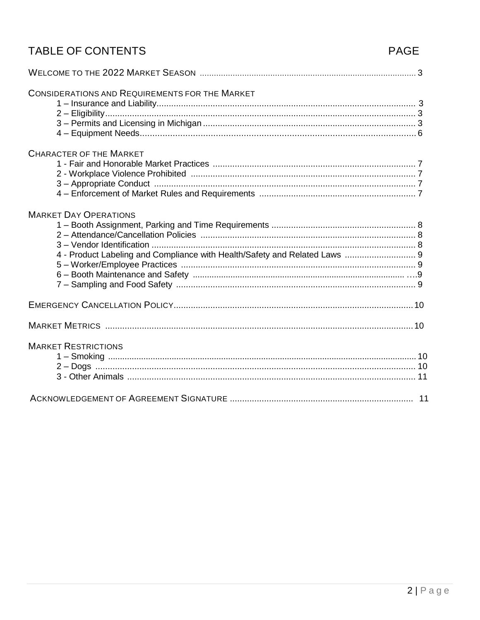# TABLE OF CONTENTS

# PAGE

| <b>CONSIDERATIONS AND REQUIREMENTS FOR THE MARKET</b>                                                      |  |
|------------------------------------------------------------------------------------------------------------|--|
| <b>CHARACTER OF THE MARKET</b>                                                                             |  |
| <b>MARKET DAY OPERATIONS</b><br>4 - Product Labeling and Compliance with Health/Safety and Related Laws  9 |  |
|                                                                                                            |  |
|                                                                                                            |  |
| <b>MARKET RESTRICTIONS</b>                                                                                 |  |
|                                                                                                            |  |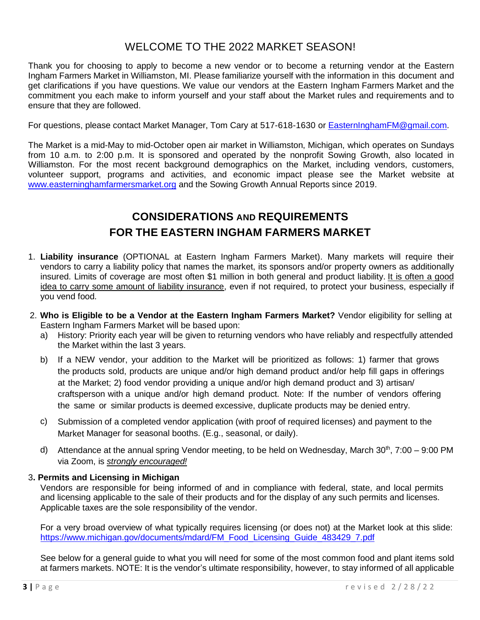## WELCOME TO THE 2022 MARKET SEASON!

Thank you for choosing to apply to become a new vendor or to become a returning vendor at the Eastern Ingham Farmers Market in Williamston, MI. Please familiarize yourself with the information in this document and get clarifications if you have questions. We value our vendors at the Eastern Ingham Farmers Market and the commitment you each make to inform yourself and your staff about the Market rules and requirements and to ensure that they are followed.

For questions, please contact Market Manager, Tom Cary at 517-618-1630 or [EasternInghamFM@gmail.com.](mailto:EasternInghamFM@gmail.com)

The Market is a mid-May to mid-October open air market in Williamston, Michigan, which operates on Sundays from 10 a.m. to 2:00 p.m. It is sponsored and operated by the nonprofit Sowing Growth, also located in Williamston. For the most recent background demographics on the Market, including vendors, customers, volunteer support, programs and activities, and economic impact please see the Market website at [www.easterninghamfarmersmarket.org](http://www.easterninghamfarmersmarket.org/) and the Sowing Growth Annual Reports since 2019.

# **CONSIDERATIONS AND REQUIREMENTS FOR THE EASTERN INGHAM FARMERS MARKET**

- 1. **Liability insurance** (OPTIONAL at Eastern Ingham Farmers Market). Many markets will require their vendors to carry a liability policy that names the market, its sponsors and/or property owners as additionally insured. Limits of coverage are most often \$1 million in both general and product liability. It is often a good idea to carry some amount of liability insurance, even if not required, to protect your business, especially if you vend food.
- 2. **Who is Eligible to be a Vendor at the Eastern Ingham Farmers Market?** Vendor eligibility for selling at Eastern Ingham Farmers Market will be based upon:
	- a) History: Priority each year will be given to returning vendors who have reliably and respectfully attended the Market within the last 3 years.
	- b) If a NEW vendor, your addition to the Market will be prioritized as follows: 1) farmer that grows the products sold, products are unique and/or high demand product and/or help fill gaps in offerings at the Market; 2) food vendor providing a unique and/or high demand product and 3) artisan/ craftsperson with a unique and/or high demand product. Note: If the number of vendors offering the same or similar products is deemed excessive, duplicate products may be denied entry.
	- c) Submission of a completed vendor application (with proof of required licenses) and payment to the Market Manager for seasonal booths. (E.g., seasonal, or daily).
	- d) Attendance at the annual spring Vendor meeting, to be held on Wednesday, March 30<sup>th</sup>, 7:00 9:00 PM via Zoom, is *strongly encouraged!*

#### 3**. Permits and Licensing in Michigan**

Vendors are responsible for being informed of and in compliance with federal, state, and local permits and licensing applicable to the sale of their products and for the display of any such permits and licenses. Applicable taxes are the sole responsibility of the vendor.

For a very broad overview of what typically requires licensing (or does not) at the Market look at this slide: [https://www.michigan.gov/documents/mdard/FM\\_Food\\_Licensing\\_Guide\\_483429\\_7.pdf](https://www.michigan.gov/documents/mdard/FM_Food_Licensing_Guide_483429_7.pdf)

See below for a general guide to what you will need for some of the most common food and plant items sold at farmers markets. NOTE: It is the vendor's ultimate responsibility, however, to stay informed of all applicable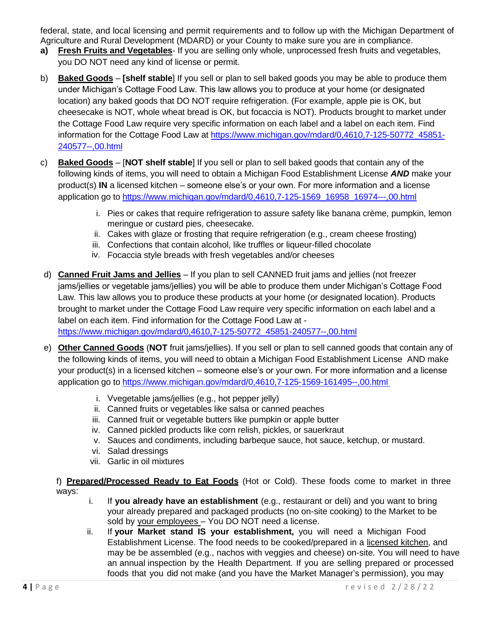federal, state, and local licensing and permit requirements and to follow up with the Michigan Department of Agriculture and Rural Development (MDARD) or your County to make sure you are in compliance.

- **a) Fresh Fruits and Vegetables** If you are selling only whole, unprocessed fresh fruits and vegetables, you DO NOT need any kind of license or permit.
- b) **Baked Goods [shelf stable**] If you sell or plan to sell baked goods you may be able to produce them under Michigan's Cottage Food Law. This law allows you to produce at your home (or designated location) any baked goods that DO NOT require refrigeration. (For example, apple pie is OK, but cheesecake is NOT, whole wheat bread is OK, but focaccia is NOT). Products brought to market under the Cottage Food Law require very specific information on each label and a label on each item. Find information for the Cottage Food Law at [https://www.michigan.gov/mdard/0,4610,7-125-50772\\_45851-](https://www.michigan.gov/mdard/0,4610,7-125-50772_45851-240577--,00.html) [240577--,00.html](https://www.michigan.gov/mdard/0,4610,7-125-50772_45851-240577--,00.html)
- c) **Baked Goods** [**NOT shelf stable**] If you sell or plan to sell baked goods that contain any of the following kinds of items, you will need to obtain a Michigan Food Establishment License *AND* make your product(s) **IN** a licensed kitchen – someone else's or your own. For more information and a license application go to [https://www.michigan.gov/mdard/0,4610,7-125-1569\\_16958\\_16974---,00.html](https://www.michigan.gov/mdard/0,4610,7-125-1569_16958_16974---,00.html)
	- i. Pies or cakes that require refrigeration to assure safety like banana crème, pumpkin, lemon meringue or custard pies, cheesecake.
	- ii. Cakes with glaze or frosting that require refrigeration (e.g., cream cheese frosting)
	- iii. Confections that contain alcohol, like truffles or liqueur-filled chocolate
	- iv. Focaccia style breads with fresh vegetables and/or cheeses
- d) **Canned Fruit Jams and Jellies** If you plan to sell CANNED fruit jams and jellies (not freezer jams/jellies or vegetable jams/jellies) you will be able to produce them under Michigan's Cottage Food Law. This law allows you to produce these products at your home (or designated location). Products brought to market under the Cottage Food Law require very specific information on each label and a label on each item. Find information for the Cottage Food Law at -

[https://www.michigan.gov/mdard/0,4610,7-125-50772\\_45851-240577--,00.html](https://www.michigan.gov/mdard/0,4610,7-125-50772_45851-240577--,00.html)

- e) **Other Canned Goods** (**NOT** fruit jams/jellies). If you sell or plan to sell canned goods that contain any of the following kinds of items, you will need to obtain a Michigan Food Establishment License AND make your product(s) in a licensed kitchen – someone else's or your own. For more information and a license application go to [https://www.michigan.gov/mdard/0,4610,7-125-1569-161495--,00.html](https://www.michigan.gov/mdard/0%2C4610%2C7-125-1569-161495--%2C00.html)
	- i. Vvegetable jams/jellies (e.g., hot pepper jelly)
	- ii. Canned fruits or vegetables like salsa or canned peaches
	- iii. Canned fruit or vegetable butters like pumpkin or apple butter
	- iv. Canned pickled products like corn relish, pickles, or sauerkraut
	- v. Sauces and condiments, including barbeque sauce, hot sauce, ketchup, or mustard.
	- vi. Salad dressings
	- vii. Garlic in oil mixtures

f) **Prepared/Processed Ready to Eat Foods** (Hot or Cold). These foods come to market in three ways:

- i. If **you already have an establishment** (e.g., restaurant or deli) and you want to bring your already prepared and packaged products (no on-site cooking) to the Market to be sold by your employees – You DO NOT need a license.
- ii. If **your Market stand IS your establishment,** you will need a Michigan Food Establishment License. The food needs to be cooked/prepared in a licensed kitchen, and may be be assembled (e.g., nachos with veggies and cheese) on-site. You will need to have an annual inspection by the Health Department. If you are selling prepared or processed foods that you did not make (and you have the Market Manager's permission), you may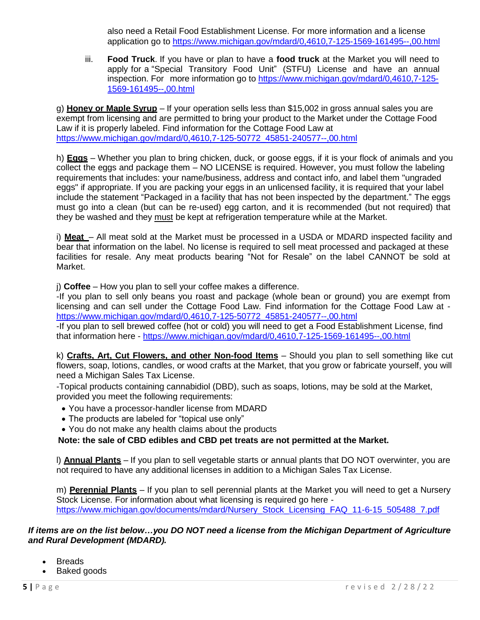also need a Retail Food Establishment License. For more information and a license application go to [https://www.michigan.gov/mdard/0,4610,7-125-1569-161495--,00.html](https://www.michigan.gov/mdard/0%2C4610%2C7-125-1569-161495--%2C00.html)

iii. **Food Truck**. If you have or plan to have a **food truck** at the Market you will need to apply for a "Special Transitory Food Unit" (STFU) License and have an annual inspection. For more information go to [https://www.michigan.gov/mdard/0,4610,7-125-](https://www.michigan.gov/mdard/0%2C4610%2C7-125-1569-161495--%2C00.html) [1569-161495--,00.html](https://www.michigan.gov/mdard/0%2C4610%2C7-125-1569-161495--%2C00.html)

g) **Honey or Maple Syrup** – If your operation sells less than \$15,002 in gross annual sales you are exempt from licensing and are permitted to bring your product to the Market under the Cottage Food Law if it is properly labeled. Find information for the Cottage Food Law at [https://www.michigan.gov/mdard/0,4610,7-125-50772\\_45851-240577--,00.html](https://www.michigan.gov/mdard/0%2C4610%2C7-125-50772_45851-240577--%2C00.html)

h) **Eggs** – Whether you plan to bring chicken, duck, or goose eggs, if it is your flock of animals and you collect the eggs and package them – NO LICENSE is required. However, you must follow the labeling requirements that includes: your name/business, address and contact info, and label them "ungraded eggs" if appropriate. If you are packing your eggs in an unlicensed facility, it is required that your label include the statement "Packaged in a facility that has not been inspected by the department." The eggs must go into a clean (but can be re-used) egg carton, and it is recommended (but not required) that they be washed and they must be kept at refrigeration temperature while at the Market.

i) **Meat** – All meat sold at the Market must be processed in a USDA or MDARD inspected facility and bear that information on the label. No license is required to sell meat processed and packaged at these facilities for resale. Any meat products bearing "Not for Resale" on the label CANNOT be sold at Market.

j) **Coffee** – How you plan to sell your coffee makes a difference.

-If you plan to sell only beans you roast and package (whole bean or ground) you are exempt from licensing and can sell under the Cottage Food Law. Find information for the Cottage Food Law at [https://www.michigan.gov/mdard/0,4610,7-125-50772\\_45851-240577--,00.html](https://www.michigan.gov/mdard/0%2C4610%2C7-125-50772_45851-240577--%2C00.html)

-If you plan to sell brewed coffee (hot or cold) you will need to get a Food Establishment License, find that information here - [https://www.michigan.gov/mdard/0,4610,7-125-1569-161495--,00.html](https://www.michigan.gov/mdard/0%2C4610%2C7-125-1569-161495--%2C00.html)

k) **Crafts, Art, Cut Flowers, and other Non-food Items** – Should you plan to sell something like cut flowers, soap, lotions, candles, or wood crafts at the Market, that you grow or fabricate yourself, you will need a Michigan Sales Tax License.

-Topical products containing cannabidiol (DBD), such as soaps, lotions, may be sold at the Market, provided you meet the following requirements:

- You have a processor-handler license from MDARD
- The products are labeled for "topical use only"
- You do not make any health claims about the products

**Note: the sale of CBD edibles and CBD pet treats are not permitted at the Market.**

l) **Annual Plants** – If you plan to sell vegetable starts or annual plants that DO NOT overwinter, you are not required to have any additional licenses in addition to a Michigan Sales Tax License.

m) **Perennial Plants** – If you plan to sell perennial plants at the Market you will need to get a Nursery Stock License. For information about what licensing is required go here [https://www.michigan.gov/documents/mdard/Nursery\\_Stock\\_Licensing\\_FAQ\\_11-6-15\\_505488\\_7.pdf](https://www.michigan.gov/documents/mdard/Nursery_Stock_Licensing_FAQ_11-6-15_505488_7.pdf)

*If items are on the list below…you DO NOT need a license from the Michigan Department of Agriculture and Rural Development (MDARD).*

- **Breads**
- Baked goods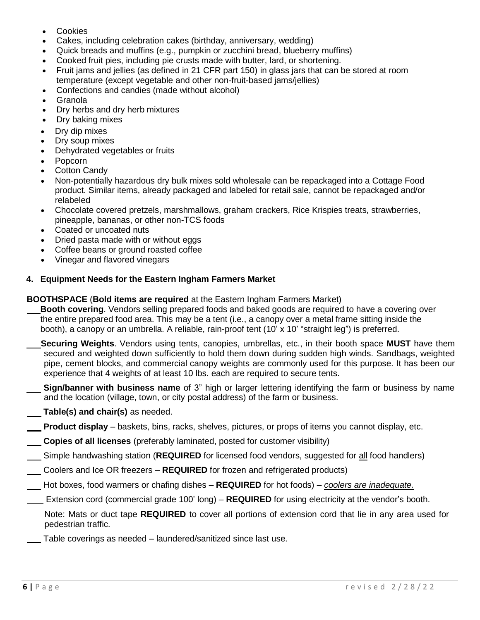- **Cookies**
- Cakes, including celebration cakes (birthday, anniversary, wedding)
- Quick breads and muffins (e.g., pumpkin or zucchini bread, blueberry muffins)
- Cooked fruit pies, including pie crusts made with butter, lard, or shortening.
- Fruit jams and jellies (as defined in 21 CFR part 150) in glass jars that can be stored at room temperature (except vegetable and other non-fruit-based jams/jellies)
- Confections and candies (made without alcohol)
- **Granola**
- Dry herbs and dry herb mixtures
- Dry baking mixes
- Dry dip mixes
- Dry soup mixes
- Dehydrated vegetables or fruits
- Popcorn
- **Cotton Candy**
- Non-potentially hazardous dry bulk mixes sold wholesale can be repackaged into a Cottage Food product. Similar items, already packaged and labeled for retail sale, cannot be repackaged and/or relabeled
- Chocolate covered pretzels, marshmallows, graham crackers, Rice Krispies treats, strawberries, pineapple, bananas, or other non-TCS foods
- Coated or uncoated nuts
- Dried pasta made with or without eggs
- Coffee beans or ground roasted coffee
- Vinegar and flavored vinegars

#### **4. Equipment Needs for the Eastern Ingham Farmers Market**

#### **BOOTHSPACE** (**Bold items are required** at the Eastern Ingham Farmers Market)

- **Booth covering**. Vendors selling prepared foods and baked goods are required to have a covering over the entire prepared food area. This may be a tent (i.e., a canopy over a metal frame sitting inside the booth), a canopy or an umbrella. A reliable, rain-proof tent (10' x 10' "straight leg") is preferred.
- **Securing Weights**. Vendors using tents, canopies, umbrellas, etc., in their booth space **MUST** have them secured and weighted down sufficiently to hold them down during sudden high winds. Sandbags, weighted pipe, cement blocks, and commercial canopy weights are commonly used for this purpose. It has been our experience that 4 weights of at least 10 lbs. each are required to secure tents.
- **Sign/banner with business name** of 3" high or larger lettering identifying the farm or business by name and the location (village, town, or city postal address) of the farm or business.
- **Table(s) and chair(s)** as needed.
- **Product display** baskets, bins, racks, shelves, pictures, or props of items you cannot display, etc.
- **Copies of all licenses** (preferably laminated, posted for customer visibility)
- Simple handwashing station (**REQUIRED** for licensed food vendors, suggested for all food handlers)
- Coolers and Ice OR freezers **REQUIRED** for frozen and refrigerated products)
- Hot boxes, food warmers or chafing dishes **REQUIRED** for hot foods) *coolers are inadequate.*
- Extension cord (commercial grade 100' long) **REQUIRED** for using electricity at the vendor's booth.

Note: Mats or duct tape **REQUIRED** to cover all portions of extension cord that lie in any area used for pedestrian traffic.

Table coverings as needed – laundered/sanitized since last use.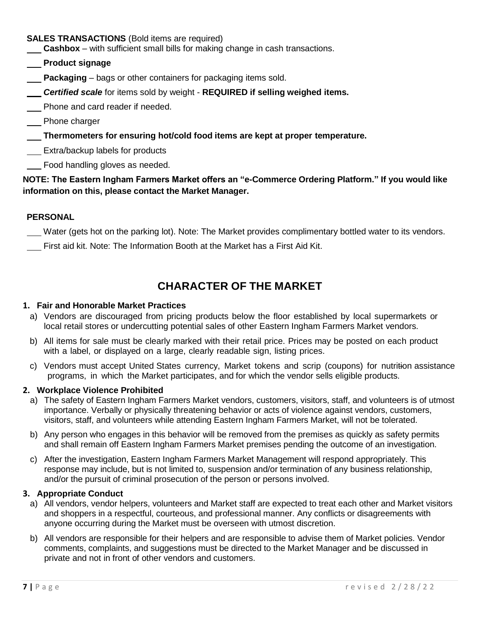#### **SALES TRANSACTIONS** (Bold items are required)

 **Cashbox** – with sufficient small bills for making change in cash transactions.

- **Product signage**
- **Packaging** bags or other containers for packaging items sold.
- *Certified scale* for items sold by weight **REQUIRED if selling weighed items.**
- Phone and card reader if needed.
- Phone charger
- **Thermometers for ensuring hot/cold food items are kept at proper temperature.**
- **Extra/backup labels for products**

Food handling gloves as needed.

#### **NOTE: The Eastern Ingham Farmers Market offers an "e-Commerce Ordering Platform." If you would like information on this, please contact the Market Manager.**

#### **PERSONAL**

- Water (gets hot on the parking lot). Note: The Market provides complimentary bottled water to its vendors.
- First aid kit. Note: The Information Booth at the Market has a First Aid Kit.

# **CHARACTER OF THE MARKET**

#### **1. Fair and Honorable Market Practices**

- a) Vendors are discouraged from pricing products below the floor established by local supermarkets or local retail stores or undercutting potential sales of other Eastern Ingham Farmers Market vendors.
- b) All items for sale must be clearly marked with their retail price. Prices may be posted on each product with a label, or displayed on a large, clearly readable sign, listing prices.
- c) Vendors must accept United States currency, Market tokens and scrip (coupons) for nutrition assistance programs, in which the Market participates, and for which the vendor sells eligible products.

#### **2. Workplace Violence Prohibited**

- a) The safety of Eastern Ingham Farmers Market vendors, customers, visitors, staff, and volunteers is of utmost importance. Verbally or physically threatening behavior or acts of violence against vendors, customers, visitors, staff, and volunteers while attending Eastern Ingham Farmers Market, will not be tolerated.
- b) Any person who engages in this behavior will be removed from the premises as quickly as safety permits and shall remain off Eastern Ingham Farmers Market premises pending the outcome of an investigation.
- c) After the investigation, Eastern Ingham Farmers Market Management will respond appropriately. This response may include, but is not limited to, suspension and/or termination of any business relationship, and/or the pursuit of criminal prosecution of the person or persons involved.

#### **3. Appropriate Conduct**

- a) All vendors, vendor helpers, volunteers and Market staff are expected to treat each other and Market visitors and shoppers in a respectful, courteous, and professional manner. Any conflicts or disagreements with anyone occurring during the Market must be overseen with utmost discretion.
- b) All vendors are responsible for their helpers and are responsible to advise them of Market policies. Vendor comments, complaints, and suggestions must be directed to the Market Manager and be discussed in private and not in front of other vendors and customers.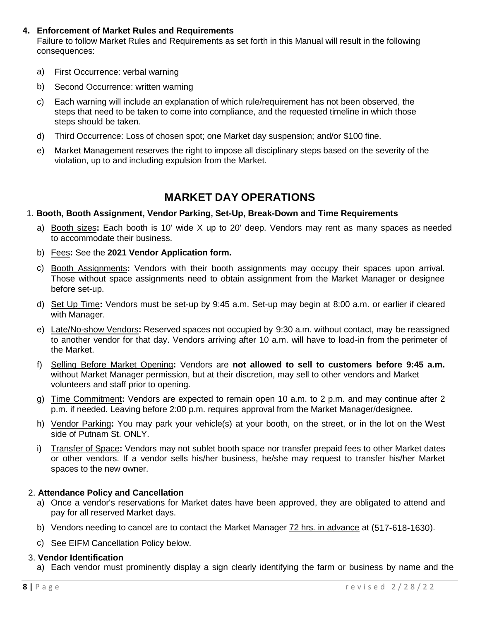#### **4. Enforcement of Market Rules and Requirements**

Failure to follow Market Rules and Requirements as set forth in this Manual will result in the following consequences:

- a) First Occurrence: verbal warning
- b) Second Occurrence: written warning
- c) Each warning will include an explanation of which rule/requirement has not been observed, the steps that need to be taken to come into compliance, and the requested timeline in which those steps should be taken.
- d) Third Occurrence: Loss of chosen spot; one Market day suspension; and/or \$100 fine.
- e) Market Management reserves the right to impose all disciplinary steps based on the severity of the violation, up to and including expulsion from the Market.

### **MARKET DAY OPERATIONS**

#### 1. **Booth, Booth Assignment, Vendor Parking, Set-Up, Break-Down and Time Requirements**

- a) Booth sizes**:** Each booth is 10' wide X up to 20' deep. Vendors may rent as many spaces as needed to accommodate their business.
- b) Fees**:** See the **2021 Vendor Application form.**
- c) Booth Assignments**:** Vendors with their booth assignments may occupy their spaces upon arrival. Those without space assignments need to obtain assignment from the Market Manager or designee before set-up.
- d) Set Up Time**:** Vendors must be set-up by 9:45 a.m. Set-up may begin at 8:00 a.m. or earlier if cleared with Manager.
- e) Late/No-show Vendors**:** Reserved spaces not occupied by 9:30 a.m. without contact, may be reassigned to another vendor for that day. Vendors arriving after 10 a.m. will have to load-in from the perimeter of the Market.
- f) Selling Before Market Opening**:** Vendors are **not allowed to sell to customers before 9:45 a.m.**  without Market Manager permission, but at their discretion, may sell to other vendors and Market volunteers and staff prior to opening.
- g) Time Commitment**:** Vendors are expected to remain open 10 a.m. to 2 p.m. and may continue after 2 p.m. if needed. Leaving before 2:00 p.m. requires approval from the Market Manager/designee.
- h) Vendor Parking**:** You may park your vehicle(s) at your booth, on the street, or in the lot on the West side of Putnam St. ONLY.
- i) Transfer of Space**:** Vendors may not sublet booth space nor transfer prepaid fees to other Market dates or other vendors. If a vendor sells his/her business, he/she may request to transfer his/her Market spaces to the new owner.

#### 2. **Attendance Policy and Cancellation**

- a) Once a vendor's reservations for Market dates have been approved, they are obligated to attend and pay for all reserved Market days.
- b) Vendors needing to cancel are to contact the Market Manager 72 hrs. in advance at (517-618-1630).
- c) See EIFM Cancellation Policy below.

#### 3. **Vendor Identification**

a) Each vendor must prominently display a sign clearly identifying the farm or business by name and the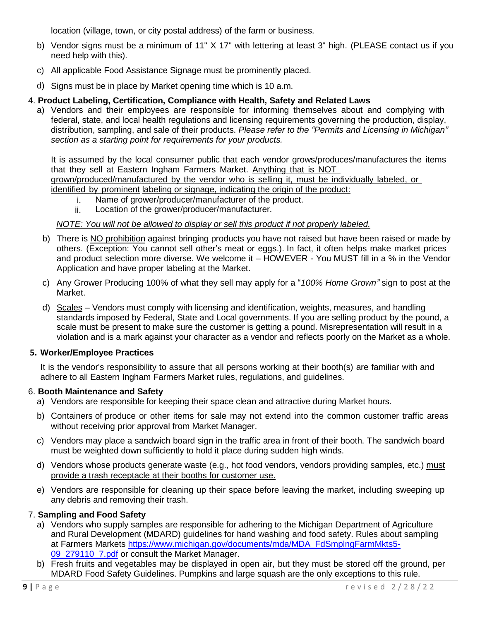location (village, town, or city postal address) of the farm or business.

- b) Vendor signs must be a minimum of 11" X 17" with lettering at least 3" high. (PLEASE contact us if you need help with this).
- c) All applicable Food Assistance Signage must be prominently placed.
- d) Signs must be in place by Market opening time which is 10 a.m.

#### 4. **Product Labeling, Certification, Compliance with Health, Safety and Related Laws**

a) Vendors and their employees are responsible for informing themselves about and complying with federal, state, and local health regulations and licensing requirements governing the production, display, distribution, sampling, and sale of their products. *Please refer to the "Permits and Licensing in Michigan" section as a starting point for requirements for your products.*

It is assumed by the local consumer public that each vendor grows/produces/manufactures the items that they sell at Eastern Ingham Farmers Market. Anything that is NOT grown/produced/manufactured by the vendor who is selling it, must be individually labeled, or identified by prominent labeling or signage, indicating the origin of the product:

- i. Name of grower/producer/manufacturer of the product.
	- ii. Location of the grower/producer/manufacturer.

#### *NOTE: You will not be allowed to display or sell this product if not properly labeled.*

- b) There is NO prohibition against bringing products you have not raised but have been raised or made by others. (Exception: You cannot sell other's meat or eggs.). In fact, it often helps make market prices and product selection more diverse. We welcome it – HOWEVER - You MUST fill in a % in the Vendor Application and have proper labeling at the Market.
- c) Any Grower Producing 100% of what they sell may apply for a "*100% Home Grown"* sign to post at the Market.
- d) Scales Vendors must comply with licensing and identification, weights, measures, and handling standards imposed by Federal, State and Local governments. If you are selling product by the pound, a scale must be present to make sure the customer is getting a pound. Misrepresentation will result in a violation and is a mark against your character as a vendor and reflects poorly on the Market as a whole.

#### **5. Worker/Employee Practices**

It is the vendor's responsibility to assure that all persons working at their booth(s) are familiar with and adhere to all Eastern Ingham Farmers Market rules, regulations, and guidelines.

#### 6. **Booth Maintenance and Safety**

- a) Vendors are responsible for keeping their space clean and attractive during Market hours.
- b) Containers of produce or other items for sale may not extend into the common customer traffic areas without receiving prior approval from Market Manager.
- c) Vendors may place a sandwich board sign in the traffic area in front of their booth. The sandwich board must be weighted down sufficiently to hold it place during sudden high winds.
- d) Vendors whose products generate waste (e.g., hot food vendors, vendors providing samples, etc.) must provide a trash receptacle at their booths for customer use.
- e) Vendors are responsible for cleaning up their space before leaving the market, including sweeping up any debris and removing their trash.

#### 7. **Sampling and Food Safety**

- a) Vendors who supply samples are responsible for adhering to the Michigan Department of Agriculture and Rural Development (MDARD) guidelines for hand washing and food safety. Rules about sampling at Farmers Markets [https://www.michigan.gov/documents/mda/MDA\\_FdSmplngFarmMkts5-](https://www.michigan.gov/documents/mda/MDA_FdSmplngFarmMkts5-09_279110_7.pdf) 09 279110 7.pdf or consult the Market Manager.
- b) Fresh fruits and vegetables may be displayed in open air, but they must be stored off the ground, per MDARD Food Safety Guidelines. Pumpkins and large squash are the only exceptions to this rule.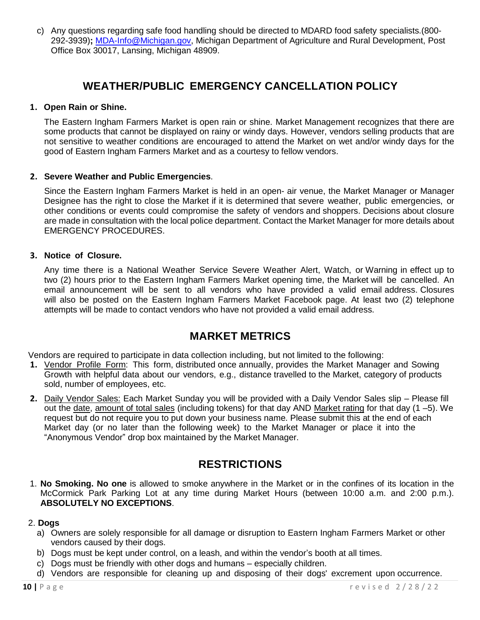c) Any questions regarding safe food handling should be directed to MDARD food safety specialists.(800- 292-3939)**;** [MDA-Info@Michigan.gov,](mailto:mda-info@michigan.gov) Michigan Department of Agriculture and Rural Development, Post Office Box 30017, Lansing, Michigan 48909.

### **WEATHER/PUBLIC EMERGENCY CANCELLATION POLICY**

#### **1. Open Rain or Shine.**

The Eastern Ingham Farmers Market is open rain or shine. Market Management recognizes that there are some products that cannot be displayed on rainy or windy days. However, vendors selling products that are not sensitive to weather conditions are encouraged to attend the Market on wet and/or windy days for the good of Eastern Ingham Farmers Market and as a courtesy to fellow vendors.

#### **2. Severe Weather and Public Emergencies**.

Since the Eastern Ingham Farmers Market is held in an open- air venue, the Market Manager or Manager Designee has the right to close the Market if it is determined that severe weather, public emergencies, or other conditions or events could compromise the safety of vendors and shoppers. Decisions about closure are made in consultation with the local police department. Contact the Market Manager for more details about EMERGENCY PROCEDURES.

#### **3. Notice of Closure.**

Any time there is a National Weather Service Severe Weather Alert, Watch, or Warning in effect up to two (2) hours prior to the Eastern Ingham Farmers Market opening time, the Market will be cancelled. An email announcement will be sent to all vendors who have provided a valid email address. Closures will also be posted on the Eastern Ingham Farmers Market Facebook page. At least two (2) telephone attempts will be made to contact vendors who have not provided a valid email address.

### **MARKET METRICS**

Vendors are required to participate in data collection including, but not limited to the following:

- **1.** Vendor Profile Form: This form, distributed once annually, provides the Market Manager and Sowing Growth with helpful data about our vendors, e.g., distance travelled to the Market, category of products sold, number of employees, etc.
- **2.** Daily Vendor Sales: Each Market Sunday you will be provided with a Daily Vendor Sales slip Please fill out the date, amount of total sales (including tokens) for that day AND Market rating for that day (1 –5). We request but do not require you to put down your business name. Please submit this at the end of each Market day (or no later than the following week) to the Market Manager or place it into the "Anonymous Vendor" drop box maintained by the Market Manager.

### **RESTRICTIONS**

1. **No Smoking. No one** is allowed to smoke anywhere in the Market or in the confines of its location in the McCormick Park Parking Lot at any time during Market Hours (between 10:00 a.m. and 2:00 p.m.). **ABSOLUTELY NO EXCEPTIONS**.

#### 2. **Dogs**

- a) Owners are solely responsible for all damage or disruption to Eastern Ingham Farmers Market or other vendors caused by their dogs.
- b) Dogs must be kept under control, on a leash, and within the vendor's booth at all times.
- c) Dogs must be friendly with other dogs and humans especially children.
- d) Vendors are responsible for cleaning up and disposing of their dogs' excrement upon occurrence.